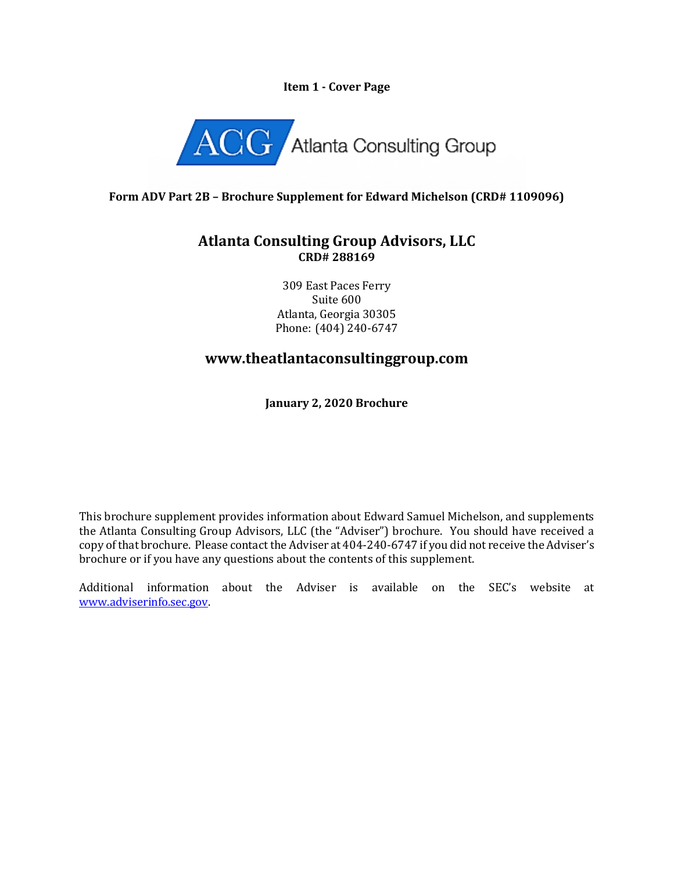## **Item 1 - Cover Page**



## **Form ADV Part 2B – Brochure Supplement for Edward Michelson (CRD# 1109096)**

## **Atlanta Consulting Group Advisors, LLC CRD# 288169**

309 East Paces Ferry Suite 600 Atlanta, Georgia 30305 Phone: (404) 240-6747

# **www.theatlantaconsultinggroup.com**

**January 2, 2020 Brochure**

This brochure supplement provides information about Edward Samuel Michelson, and supplements the Atlanta Consulting Group Advisors, LLC (the "Adviser") brochure. You should have received a copy of that brochure. Please contact the Adviser at 404-240-6747 if you did not receive the Adviser's brochure or if you have any questions about the contents of this supplement.

Additional information about the Adviser is available on the SEC's website at [www.adviserinfo.sec.gov.](http://www.adviserinfo.sec.gov/)